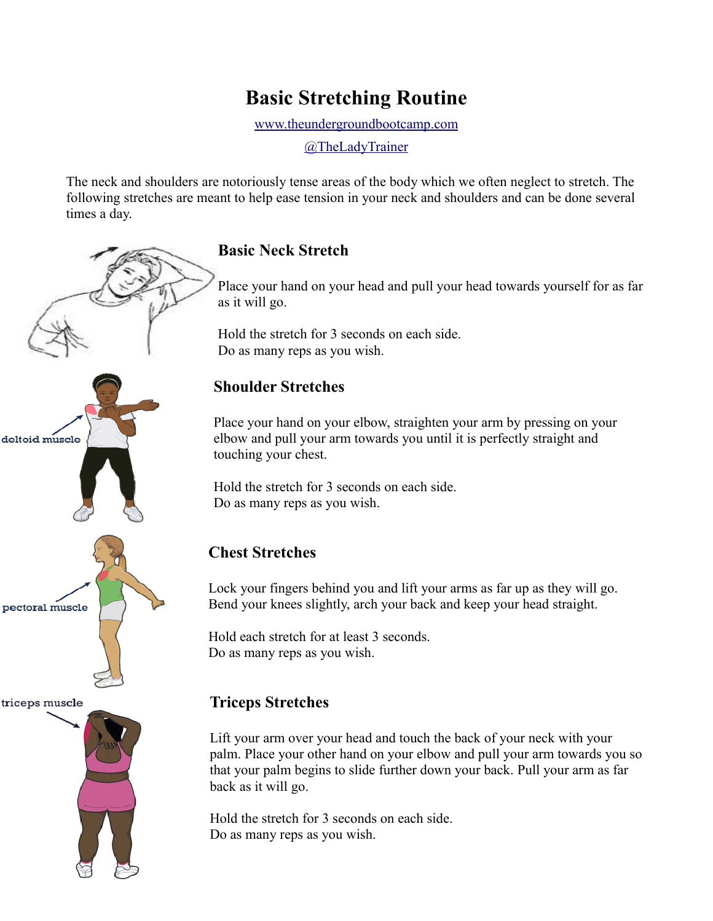# **Basic Stretching Routine**

[www.theundergroundbootcamp.com](http://www.theundergroundbootcamp.com/)

[@TheLadyTrainer](https://twitter.com/TheLadyTrainer)

The neck and shoulders are notoriously tense areas of the body which we often neglect to stretch. The following stretches are meant to help ease tension in your neck and shoulders and can be done several times a day.



#### **Basic Neck Stretch**

Place your hand on your head and pull your head towards yourself for as far as it will go.

Hold the stretch for 3 seconds on each side. Do as many reps as you wish.

#### **Shoulder Stretches**

Place your hand on your elbow, straighten your arm by pressing on your elbow and pull your arm towards you until it is perfectly straight and touching your chest.

Hold the stretch for 3 seconds on each side. Do as many reps as you wish.

## **Chest Stretches**

Lock your fingers behind you and lift your arms as far up as they will go. Bend your knees slightly, arch your back and keep your head straight.

Hold each stretch for at least 3 seconds. Do as many reps as you wish.

### **Triceps Stretches**

Lift your arm over your head and touch the back of your neck with your palm. Place your other hand on your elbow and pull your arm towards you so that your palm begins to slide further down your back. Pull your arm as far back as it will go.

Hold the stretch for 3 seconds on each side. Do as many reps as you wish.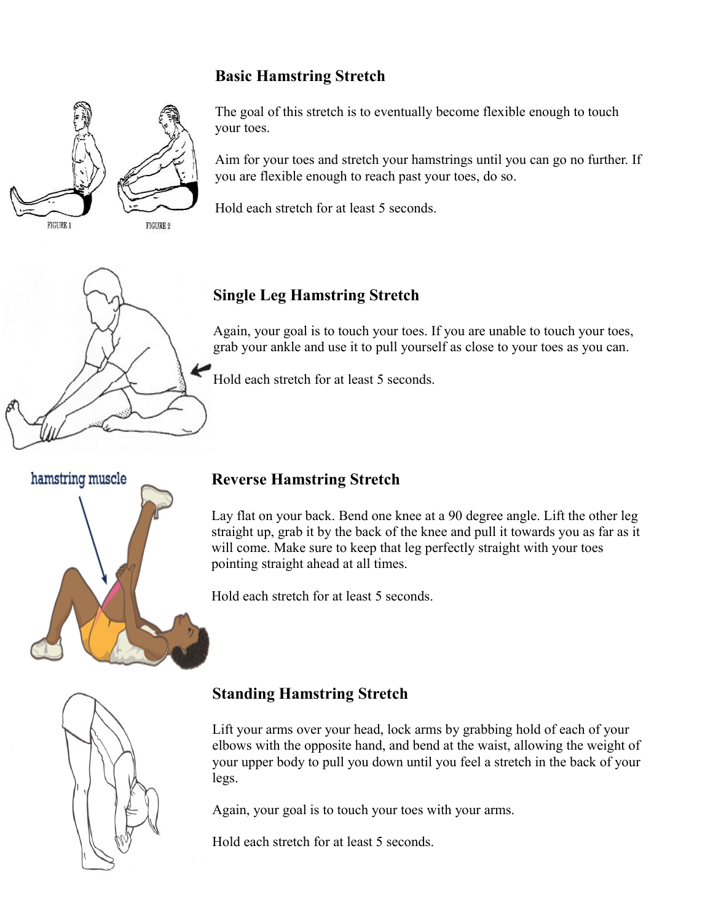### **Basic Hamstring Stretch**



The goal of this stretch is to eventually become flexible enough to touch your toes.

Aim for your toes and stretch your hamstrings until you can go no further. If you are flexible enough to reach past your toes, do so.

Hold each stretch for at least 5 seconds.



### **Single Leg Hamstring Stretch**

Again, your goal is to touch your toes. If you are unable to touch your toes, grab your ankle and use it to pull yourself as close to your toes as you can.

Hold each stretch for at least 5 seconds.



### **Reverse Hamstring Stretch**

Lay flat on your back. Bend one knee at a 90 degree angle. Lift the other leg straight up, grab it by the back of the knee and pull it towards you as far as it will come. Make sure to keep that leg perfectly straight with your toes pointing straight ahead at all times.

Hold each stretch for at least 5 seconds.



## **Standing Hamstring Stretch**

Lift your arms over your head, lock arms by grabbing hold of each of your elbows with the opposite hand, and bend at the waist, allowing the weight of your upper body to pull you down until you feel a stretch in the back of your legs.

Again, your goal is to touch your toes with your arms.

Hold each stretch for at least 5 seconds.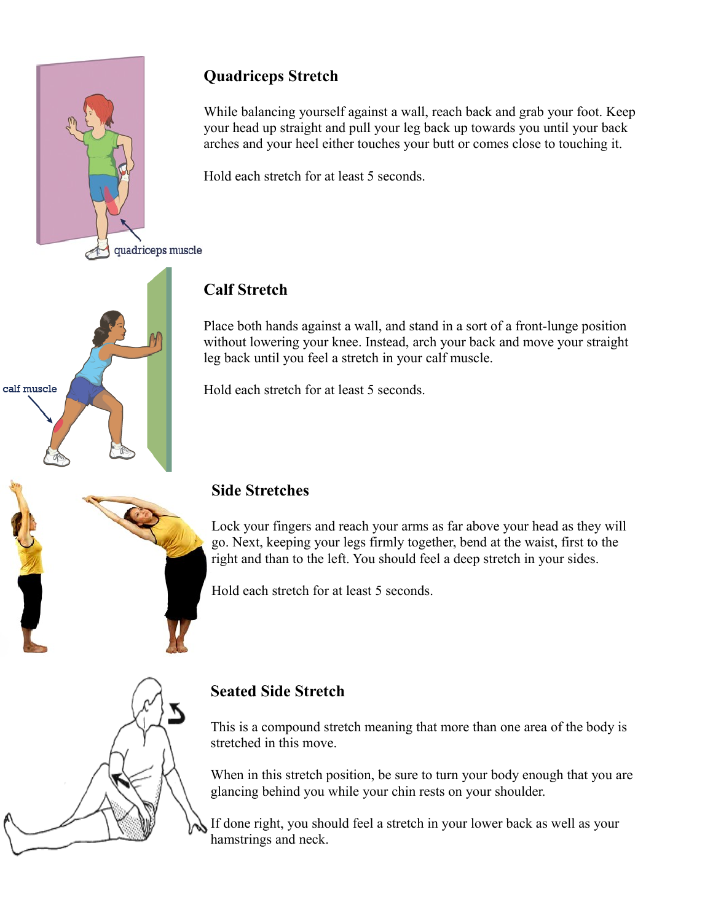

# **Quadriceps Stretch**

While balancing yourself against a wall, reach back and grab your foot. Keep your head up straight and pull your leg back up towards you until your back arches and your heel either touches your butt or comes close to touching it.

Hold each stretch for at least 5 seconds.

# **Calf Stretch**

Place both hands against a wall, and stand in a sort of a front-lunge position without lowering your knee. Instead, arch your back and move your straight leg back until you feel a stretch in your calf muscle.

Hold each stretch for at least 5 seconds.



### **Side Stretches**

Lock your fingers and reach your arms as far above your head as they will go. Next, keeping your legs firmly together, bend at the waist, first to the right and than to the left. You should feel a deep stretch in your sides.

Hold each stretch for at least 5 seconds.



## **Seated Side Stretch**

This is a compound stretch meaning that more than one area of the body is stretched in this move.

When in this stretch position, be sure to turn your body enough that you are glancing behind you while your chin rests on your shoulder.

If done right, you should feel a stretch in your lower back as well as your hamstrings and neck.